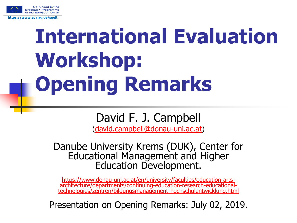

## **International Evaluation Workshop: Opening Remarks**

## David F. J. Campbell

([david.campbell@donau-uni.ac.at](mailto:david.campbell@donau-uni.ac.at))

Danube University Krems (DUK), Center for Educational Management and Higher Education Development.

https://www.donau-uni.ac.at/en/university/faculties/education-artsarchitecture/departments/continuing-education-research-educational[technologies/zentren/bildungsmanagement-hochschulentwicklung.html](https://www.donau-uni.ac.at/en/university/faculties/education-arts-architecture/departments/continuing-education-research-educational-technologies/zentren/bildungsmanagement-hochschulentwicklung.html)

Presentation on Opening Remarks: July 02, 2019.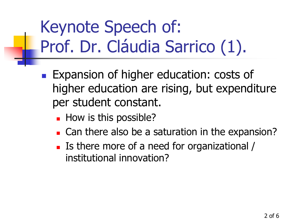## Keynote Speech of: Prof. Dr. Cláudia Sarrico (1).

- **Expansion of higher education: costs of** higher education are rising, but expenditure per student constant.
	- **How is this possible?**
	- **Can there also be a saturation in the expansion?**
	- Is there more of a need for organizational / institutional innovation?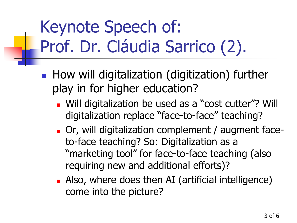## Keynote Speech of: Prof. Dr. Cláudia Sarrico (2).

- **How will digitalization (digitization) further** play in for higher education?
	- **Nulli** digitalization be used as a "cost cutter"? Will digitalization replace "face-to-face" teaching?
	- Or, will digitalization complement / augment faceto-face teaching? So: Digitalization as a "marketing tool" for face-to-face teaching (also requiring new and additional efforts)?
	- **Also, where does then AI (artificial intelligence)** come into the picture?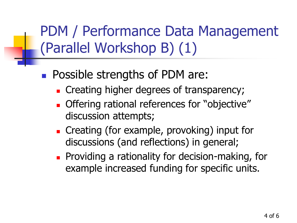PDM / Performance Data Management (Parallel Workshop B) (1)

- **Possible strengths of PDM are:** 
	- **Exercise 1** Creating higher degrees of transparency;
	- **Offering rational references for "objective"** discussion attempts;
	- **Creating (for example, provoking) input for** discussions (and reflections) in general;
	- **Providing a rationality for decision-making, for** example increased funding for specific units.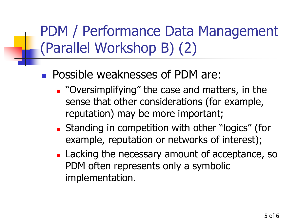PDM / Performance Data Management (Parallel Workshop B) (2)

- **Possible weaknesses of PDM are:** 
	- **.** "Oversimplifying" the case and matters, in the sense that other considerations (for example, reputation) may be more important;
	- **Standing in competition with other "logics" (for** example, reputation or networks of interest);
	- **Lacking the necessary amount of acceptance, so** PDM often represents only a symbolic implementation.